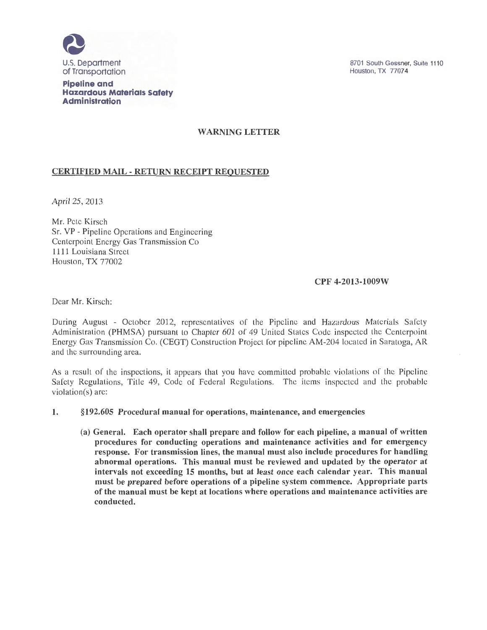

**Pipeline and Hazardous Materials Safety Administration** 

8701 South Gessner, Suite 1110 Houston, TX 77074

# WARNING LETTER

## CERTIFIED MAIL - RETURN RECEIPT REQUESTED

April25, 2013

Mr. Pete Kirsch Sr. VP - Pipeline Operations and Engineering Centerpoint Energy Gas Transmission Co 1111 Louisiana Street Houston, TX 77002

### CPF 4-2013-1009W

Dear Mr. Kirsch:

During August - October 2012, representatives of the Pipeline and Hazardous Materials Safety Administration (PHMSA) pursuant to Chapter 601 of 49 United States Code inspected the Centerpoint Energy Gas Transmission Co. (CEGT) Construction Project for pipeline AM-204 located in Saratoga, AR and the surrounding area.

As a result of the inspections, it appears that you have committed probable violations of the Pipeline Safety Regulations, Title 49, Code of Federal Regulations. The items inspected and the probable violation(s) are:

#### 1. §192.605 Procedural manual for operations, maintenance, and emergencies

(a) General. Each operator shall prepare and follow for each pipeline, a manual of written procedures for conducting operations and maintenance activities and for emergency response. For transmission lines, the manual must also include procedures for handling abnormal operations. This manual must be reviewed and updated by the operator at intervals not exceeding 15 months, but at least once each calendar year. This manual must be prepared before operations of a pipeline system commence. Appropriate parts of the manual must be kept at locations where operations and maintenance activities are conducted.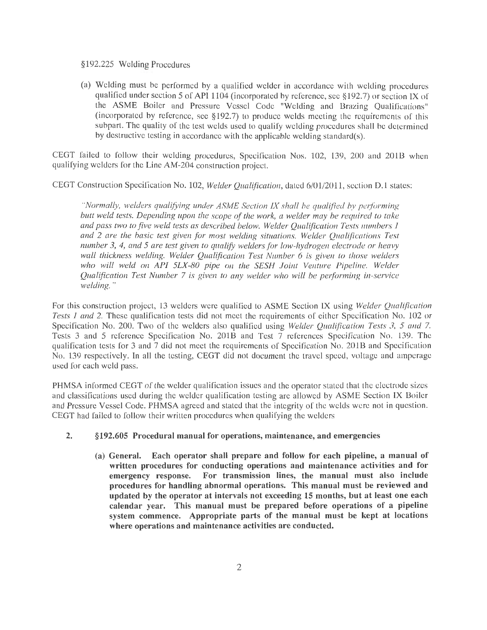#### §192.225 Welding Procedures

(a) Welding must be performed by a qualified welder in accordance with welding procedures qualified under section 5 of API 1104 (incorporated by reference, see §192.7) or section IX of the ASME Boiler and Pressure Vessel Code "Welding and Brazing Qualifications" (incorporated by reference, see §192.7) to produce welds meeting the requirements of this subpart. The quality of the test welds used to qualify welding procedures shall be determined by destructive testing in accordance with the applicable welding standard(s).

CEGT failed to follow their welding procedures, Specification Nos. 102, 139, 200 and 201B when qualifying welders for the Line AM-204 construction project.

CEGT Construction Specification No. 102, *Welder Qualijzcation,* dated 6/01/2011, section D.1 states:

*"Normally, welders qualifYing under ASME Section IX shall be qualified by performing butt weld tests. Depending upon the scope of the work, a welder may be required to take*  and pass two to five weld tests as described below. Welder Qualification Tests numbers 1 *and 2 are the basic test given for most welding situations. Welder Qualifications Test number 3, 4, and 5 are test given to qualify welders for low-hydrogen electrode or heavy wall thickness welding. Welder Qualification Test Number 6 is given to those welders*  who will weld on API 5LX-80 pipe on the SESH Joint Venture Pipeline. Welder *Qualijtcation Test Number* 7 *is given to any welder who will be performing in-service welding."* 

For this construction project, 13 welders were qualified to ASME Section IX using *Welder Qualification Tests 1 and 2.* These qualification tests did not meet the requirements of either Specification No. 102 or Specification No. 200. Two of the welders also qualified using *Welder Qualification Tests 3, 5 and* 7. Tests 3 and 5 reference Specification No. 201B and Test 7 references Specification No. 139. The qualification tests for 3 and 7 did not meet the requirements of Specification No. 201B and Specification No. 139 respectively. In all the testing, CEGT did not document the travel speed, voltage and amperage used for each weld pass.

PHMSA informed CEGT of the welder qualification issues and the operator stated that the electrode sizes and classifications used during the welder qualification testing are allowed by ASME Section IX Boiler and Pressure Vessel Code. PHMSA agreed and stated that the integrity of the welds were not in question. CEGT had failed to follow their written procedures when qualifying the welders

#### **2. §192.605 Procedural manual for operations, maintenance, and emergencies**

**(a) General. Each operator shall prepare and follow for each pipeline, a manual of written procedures for conducting operations and maintenance activities and for emergency response. For transmission lines, the manual must also include procedures for handling abnormal operations. This manual must be reviewed and updated by the operator at intervals not exceeding 15 months, but at least one each calendar year. This manual must be prepared before operations of a pipeline system commence. Appropriate parts of the manual must be kept at locations where operations and maintenance activities are conducted.**